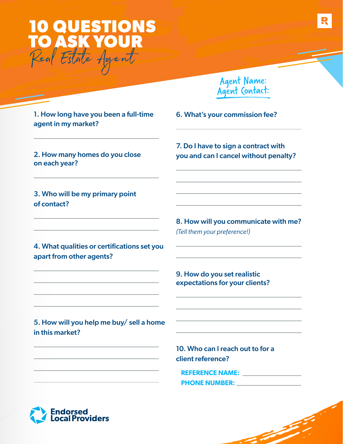

Agent Name: Agent Contact:

1. How long have you been a full-time agent in my market?

2. How many homes do you close on each year?

3. Who will be my primary point of contact?

4. What qualities or certifications set you apart from other agents?

7. Do I have to sign a contract with you and can I cancel without penalty?

6. What's your commission fee?

8. How will you communicate with me? *(Tell them your preference!)*

9. How do you set realistic expectations for your clients?

5. How will you help me buy/ sell a home in this market?

> 10. Who can I reach out to for a client reference?

**REFERENCE NAME: PHONE NUMBER:**